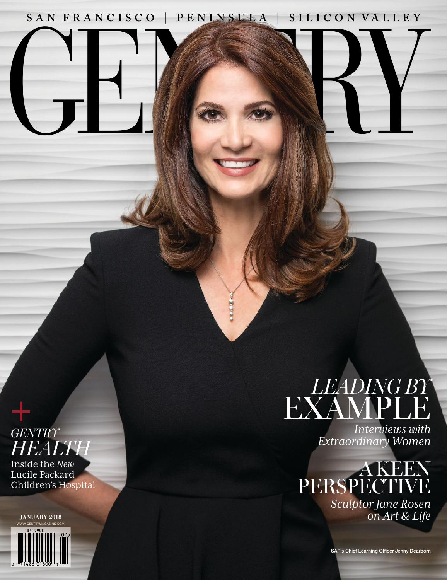### **SAN FRANCISCO PENINSULA S I LI CO N VA LLE Y**

GENE SAL

**CERTIFICATE** 



Inside the *New* Lucile Packard Children's Hospital

WWW.GENTRYMAGAZINE.COM **JANUARY 2018**



## *LEADING BY* EXAMPLE

*Interviews with Extraordinary Women*

### A KEEN PERSPECTIVE

*Sculptor Jane Rosen on Art & Life*

SAP's Chief Learning Officer Jenny Dearborn